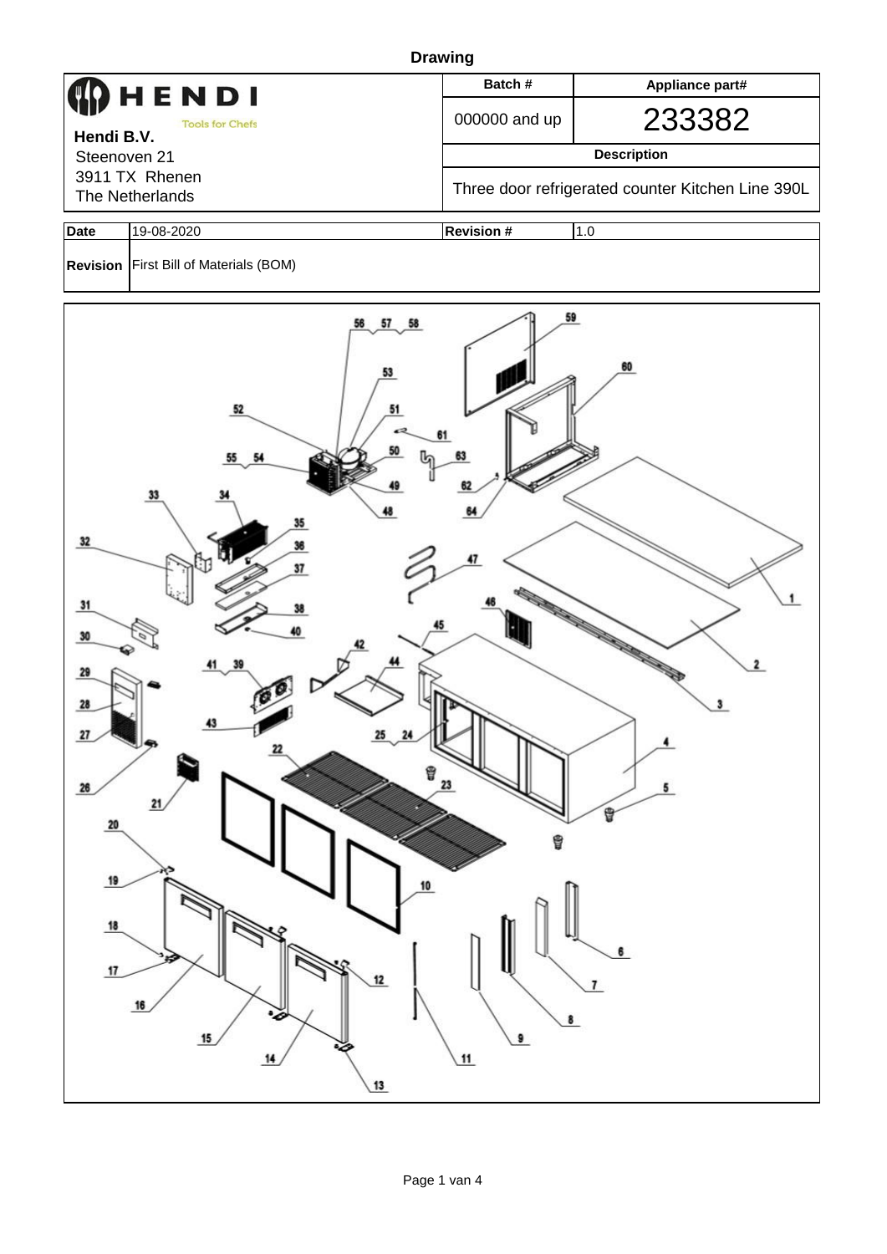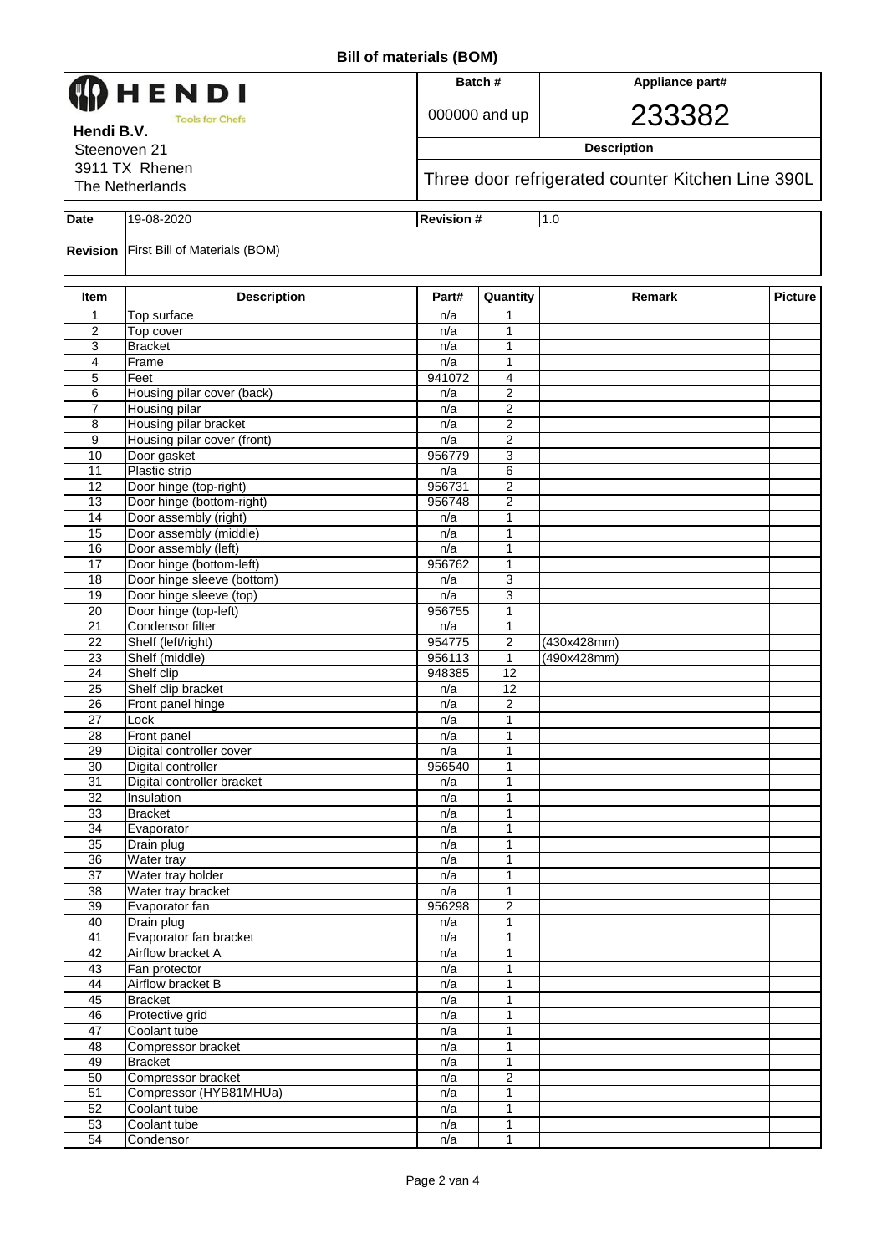| IENDI<br><b>Tools for Chefs</b><br>Hendi B.V.<br>Steenoven 21 |                                                        |                                                   | Batch#            | Appliance part# |                |  |  |  |  |
|---------------------------------------------------------------|--------------------------------------------------------|---------------------------------------------------|-------------------|-----------------|----------------|--|--|--|--|
|                                                               |                                                        |                                                   | 000000 and up     | 233382          |                |  |  |  |  |
|                                                               |                                                        | <b>Description</b>                                |                   |                 |                |  |  |  |  |
|                                                               | 3911 TX Rhenen                                         |                                                   |                   |                 |                |  |  |  |  |
|                                                               | The Netherlands                                        | Three door refrigerated counter Kitchen Line 390L |                   |                 |                |  |  |  |  |
| Date                                                          | 19-08-2020                                             | <b>Revision #</b>                                 |                   | 1.0             |                |  |  |  |  |
|                                                               | <b>Revision First Bill of Materials (BOM)</b>          |                                                   |                   |                 |                |  |  |  |  |
| Item                                                          | <b>Description</b>                                     | Part#                                             | Quantity          | Remark          | <b>Picture</b> |  |  |  |  |
| 1                                                             | Top surface                                            | n/a                                               |                   |                 |                |  |  |  |  |
| $\overline{2}$                                                | Top cover                                              | n/a                                               | $\mathbf{1}$      |                 |                |  |  |  |  |
| 3                                                             | <b>Bracket</b>                                         | n/a                                               | 1                 |                 |                |  |  |  |  |
| 4<br>5                                                        | Frame<br>Feet                                          | n/a<br>941072                                     | 1<br>4            |                 |                |  |  |  |  |
| 6                                                             | Housing pilar cover (back)                             | n/a                                               | $\overline{2}$    |                 |                |  |  |  |  |
| $\overline{7}$                                                | <b>Housing pilar</b>                                   | n/a                                               | 2                 |                 |                |  |  |  |  |
| 8                                                             | Housing pilar bracket                                  | n/a                                               | $\overline{2}$    |                 |                |  |  |  |  |
| 9                                                             | Housing pilar cover (front)                            | n/a                                               | $\overline{c}$    |                 |                |  |  |  |  |
| 10                                                            | Door gasket                                            | 956779                                            | 3                 |                 |                |  |  |  |  |
| 11                                                            | Plastic strip                                          | n/a                                               | 6                 |                 |                |  |  |  |  |
| 12                                                            | Door hinge (top-right)                                 | 956731                                            | 2                 |                 |                |  |  |  |  |
| 13                                                            | Door hinge (bottom-right)                              | 956748                                            | $\overline{2}$    |                 |                |  |  |  |  |
| 14                                                            | Door assembly (right)                                  | n/a                                               | 1                 |                 |                |  |  |  |  |
| 15                                                            | Door assembly (middle)                                 | n/a                                               | 1                 |                 |                |  |  |  |  |
| 16<br>17                                                      | Door assembly (left)                                   | n/a                                               | 1<br>$\mathbf{1}$ |                 |                |  |  |  |  |
| 18                                                            | Door hinge (bottom-left)<br>Door hinge sleeve (bottom) | 956762<br>n/a                                     | 3                 |                 |                |  |  |  |  |
| 19                                                            | Door hinge sleeve (top)                                | n/a                                               | 3                 |                 |                |  |  |  |  |
| $\overline{20}$                                               | Door hinge (top-left)                                  | 956755                                            | 1                 |                 |                |  |  |  |  |
| 21                                                            | Condensor filter                                       | n/a                                               | $\mathbf{1}$      |                 |                |  |  |  |  |
| 22                                                            | Shelf (left/right)                                     | 954775                                            | 2                 | (430x428mm)     |                |  |  |  |  |
| 23                                                            | Shelf (middle)                                         | 956113                                            | 1                 | (490x428mm)     |                |  |  |  |  |
| 24                                                            | Shelf clip                                             | 948385                                            | 12                |                 |                |  |  |  |  |
| $\overline{25}$                                               | Shelf clip bracket                                     | n/a                                               | 12                |                 |                |  |  |  |  |
| 26                                                            | Front panel hinge                                      | n/a                                               | $\overline{2}$    |                 |                |  |  |  |  |
| $\overline{27}$                                               | Lock                                                   | n/a                                               | 1                 |                 |                |  |  |  |  |
| 28<br>29                                                      | Front panel<br>Digital controller cover                | n/a<br>n/a                                        | 1<br>$\mathbf{1}$ |                 |                |  |  |  |  |
| 30                                                            | Digital controller                                     | 956540                                            | 1                 |                 |                |  |  |  |  |
| 31                                                            | Digital controller bracket                             | n/a                                               | 1                 |                 |                |  |  |  |  |
| 32                                                            | Insulation                                             | n/a                                               | 1                 |                 |                |  |  |  |  |
| 33                                                            | <b>Bracket</b>                                         | n/a                                               | 1                 |                 |                |  |  |  |  |
| 34                                                            | Evaporator                                             | n/a                                               | 1                 |                 |                |  |  |  |  |
| 35                                                            | Drain plug                                             | n/a                                               | 1                 |                 |                |  |  |  |  |
| 36                                                            | Water tray                                             | n/a                                               | $\mathbf{1}$      |                 |                |  |  |  |  |
| $\overline{37}$                                               | Water tray holder                                      | n/a                                               | 1                 |                 |                |  |  |  |  |
| $\overline{38}$                                               | Water tray bracket                                     | n/a                                               | 1                 |                 |                |  |  |  |  |
| 39                                                            | Evaporator fan                                         | 956298                                            | 2                 |                 |                |  |  |  |  |
| 40<br>41                                                      | Drain plug<br>Evaporator fan bracket                   | n/a<br>n/a                                        | 1<br>1            |                 |                |  |  |  |  |
| 42                                                            | Airflow bracket A                                      | n/a                                               | 1                 |                 |                |  |  |  |  |
| 43                                                            | Fan protector                                          | n/a                                               | 1                 |                 |                |  |  |  |  |
| 44                                                            | Airflow bracket B                                      | n/a                                               | 1                 |                 |                |  |  |  |  |
| 45                                                            | <b>Bracket</b>                                         | n/a                                               | $\mathbf{1}$      |                 |                |  |  |  |  |
| 46                                                            | Protective grid                                        | n/a                                               | 1                 |                 |                |  |  |  |  |
| 47                                                            | Coolant tube                                           | n/a                                               | 1                 |                 |                |  |  |  |  |
| 48                                                            | Compressor bracket                                     | n/a                                               | $\mathbf{1}$      |                 |                |  |  |  |  |
| 49                                                            | <b>Bracket</b>                                         | n/a                                               | 1                 |                 |                |  |  |  |  |
| 50                                                            | Compressor bracket                                     | n/a                                               | $\overline{2}$    |                 |                |  |  |  |  |
| 51                                                            | Compressor (HYB81MHUa)                                 | n/a                                               | 1                 |                 |                |  |  |  |  |
| 52                                                            | Coolant tube                                           | n/a                                               | $\mathbf{1}$      |                 |                |  |  |  |  |
| 53<br>54                                                      | Coolant tube<br>Condensor                              | n/a                                               | 1                 |                 |                |  |  |  |  |
|                                                               |                                                        | n/a                                               | 1                 |                 |                |  |  |  |  |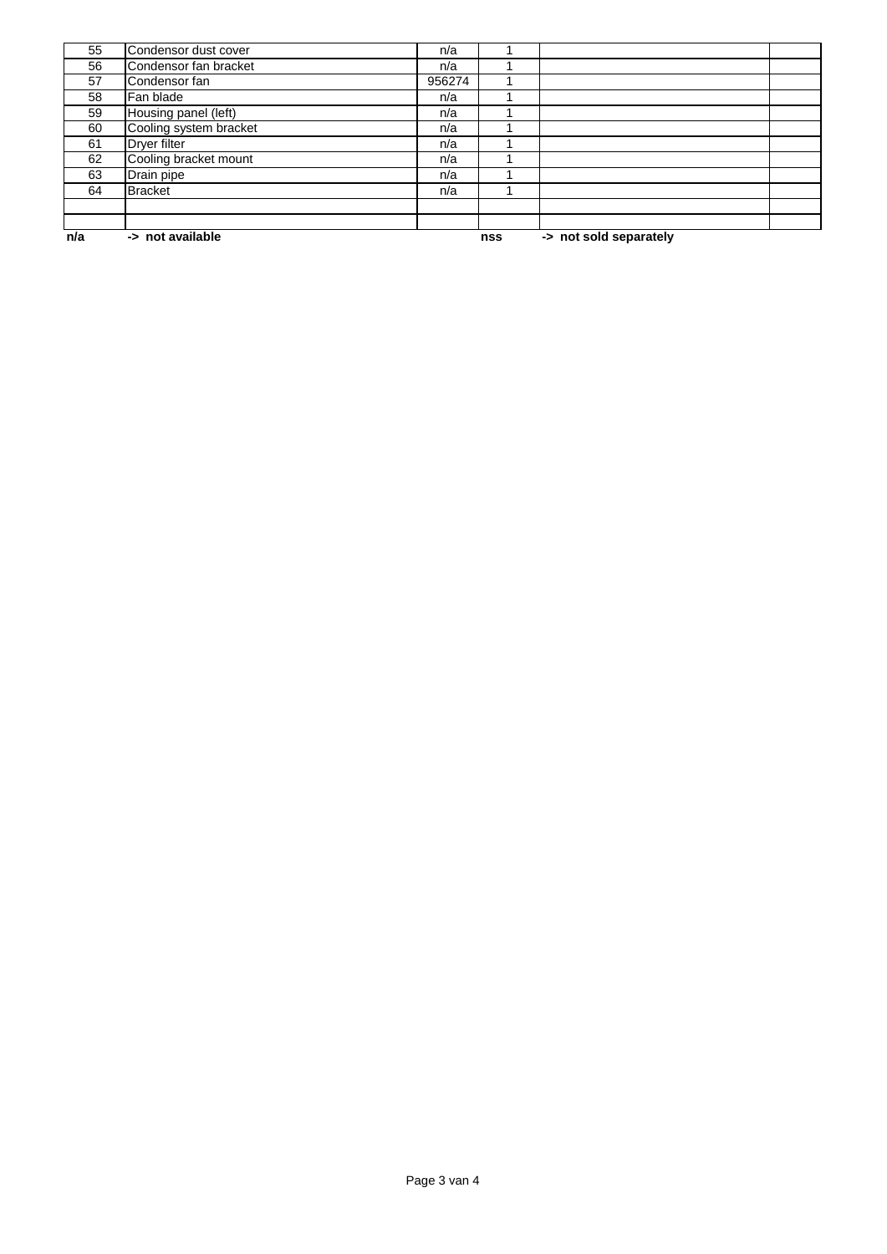| n/a | -> not available       |        |  | -> not sold separately<br>nss |  |  |
|-----|------------------------|--------|--|-------------------------------|--|--|
|     |                        |        |  |                               |  |  |
|     |                        |        |  |                               |  |  |
| 64  | <b>Bracket</b>         | n/a    |  |                               |  |  |
| 63  | Drain pipe             | n/a    |  |                               |  |  |
| 62  | Cooling bracket mount  | n/a    |  |                               |  |  |
| 61  | Dryer filter           | n/a    |  |                               |  |  |
| 60  | Cooling system bracket | n/a    |  |                               |  |  |
| 59  | Housing panel (left)   | n/a    |  |                               |  |  |
| 58  | Fan blade              | n/a    |  |                               |  |  |
| 57  | Condensor fan          | 956274 |  |                               |  |  |
| 56  | Condensor fan bracket  | n/a    |  |                               |  |  |
| 55  | Condensor dust cover   | n/a    |  |                               |  |  |